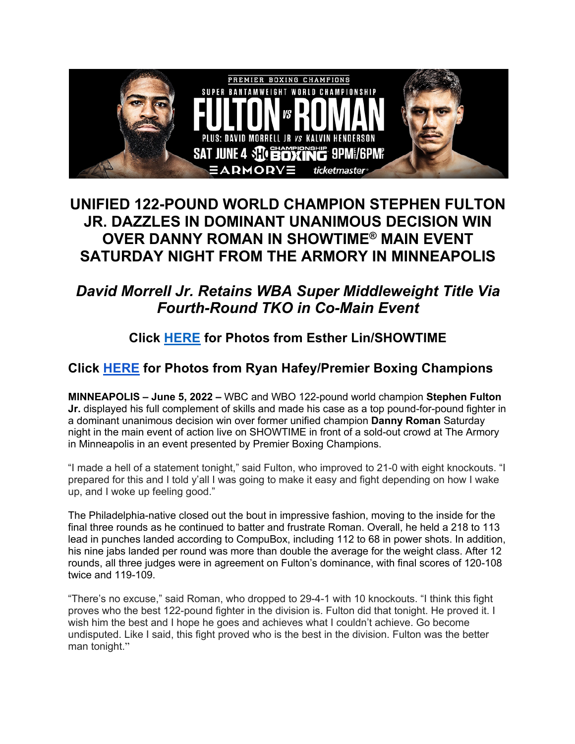

## **UNIFIED 122-POUND WORLD CHAMPION STEPHEN FULTON JR. DAZZLES IN DOMINANT UNANIMOUS DECISION WIN OVER DANNY ROMAN IN SHOWTIME® MAIN EVENT SATURDAY NIGHT FROM THE ARMORY IN MINNEAPOLIS**

## *David Morrell Jr. Retains WBA Super Middleweight Title Via Fourth-Round TKO in Co-Main Event*

**Click HERE for Photos from Esther Lin/SHOWTIME**

## **Click HERE for Photos from Ryan Hafey/Premier Boxing Champions**

**MINNEAPOLIS – June 5, 2022 –** WBC and WBO 122-pound world champion **Stephen Fulton Jr.** displayed his full complement of skills and made his case as a top pound-for-pound fighter in a dominant unanimous decision win over former unified champion **Danny Roman** Saturday night in the main event of action live on SHOWTIME in front of a sold-out crowd at The Armory in Minneapolis in an event presented by Premier Boxing Champions.

"I made a hell of a statement tonight," said Fulton, who improved to 21-0 with eight knockouts. "I prepared for this and I told y'all I was going to make it easy and fight depending on how I wake up, and I woke up feeling good."

The Philadelphia-native closed out the bout in impressive fashion, moving to the inside for the final three rounds as he continued to batter and frustrate Roman. Overall, he held a 218 to 113 lead in punches landed according to CompuBox, including 112 to 68 in power shots. In addition, his nine jabs landed per round was more than double the average for the weight class. After 12 rounds, all three judges were in agreement on Fulton's dominance, with final scores of 120-108 twice and 119-109.

"There's no excuse," said Roman, who dropped to 29-4-1 with 10 knockouts. "I think this fight proves who the best 122-pound fighter in the division is. Fulton did that tonight. He proved it. I wish him the best and I hope he goes and achieves what I couldn't achieve. Go become undisputed. Like I said, this fight proved who is the best in the division. Fulton was the better man tonight."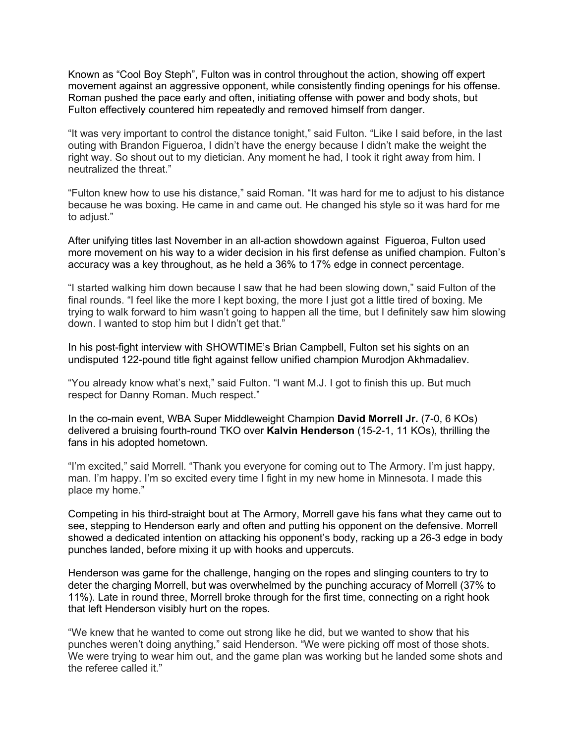Known as "Cool Boy Steph", Fulton was in control throughout the action, showing off expert movement against an aggressive opponent, while consistently finding openings for his offense. Roman pushed the pace early and often, initiating offense with power and body shots, but Fulton effectively countered him repeatedly and removed himself from danger.

"It was very important to control the distance tonight," said Fulton. "Like I said before, in the last outing with Brandon Figueroa, I didn't have the energy because I didn't make the weight the right way. So shout out to my dietician. Any moment he had, I took it right away from him. I neutralized the threat."

"Fulton knew how to use his distance," said Roman. "It was hard for me to adjust to his distance because he was boxing. He came in and came out. He changed his style so it was hard for me to adjust."

After unifying titles last November in an all-action showdown against Figueroa, Fulton used more movement on his way to a wider decision in his first defense as unified champion. Fulton's accuracy was a key throughout, as he held a 36% to 17% edge in connect percentage.

"I started walking him down because I saw that he had been slowing down," said Fulton of the final rounds. "I feel like the more I kept boxing, the more I just got a little tired of boxing. Me trying to walk forward to him wasn't going to happen all the time, but I definitely saw him slowing down. I wanted to stop him but I didn't get that."

In his post-fight interview with SHOWTIME's Brian Campbell, Fulton set his sights on an undisputed 122-pound title fight against fellow unified champion Murodjon Akhmadaliev.

"You already know what's next," said Fulton. "I want M.J. I got to finish this up. But much respect for Danny Roman. Much respect."

In the co-main event, WBA Super Middleweight Champion **David Morrell Jr.** (7-0, 6 KOs) delivered a bruising fourth-round TKO over **Kalvin Henderson** (15-2-1, 11 KOs), thrilling the fans in his adopted hometown.

"I'm excited," said Morrell. "Thank you everyone for coming out to The Armory. I'm just happy, man. I'm happy. I'm so excited every time I fight in my new home in Minnesota. I made this place my home."

Competing in his third-straight bout at The Armory, Morrell gave his fans what they came out to see, stepping to Henderson early and often and putting his opponent on the defensive. Morrell showed a dedicated intention on attacking his opponent's body, racking up a 26-3 edge in body punches landed, before mixing it up with hooks and uppercuts.

Henderson was game for the challenge, hanging on the ropes and slinging counters to try to deter the charging Morrell, but was overwhelmed by the punching accuracy of Morrell (37% to 11%). Late in round three, Morrell broke through for the first time, connecting on a right hook that left Henderson visibly hurt on the ropes.

"We knew that he wanted to come out strong like he did, but we wanted to show that his punches weren't doing anything," said Henderson. "We were picking off most of those shots. We were trying to wear him out, and the game plan was working but he landed some shots and the referee called it."